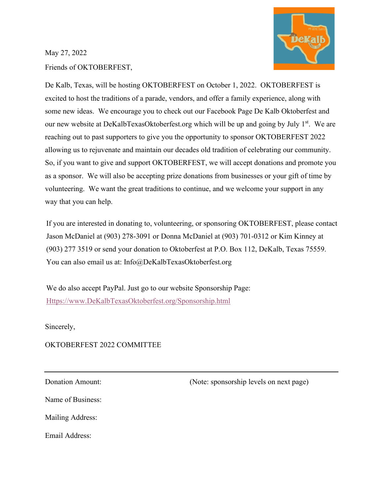

### May 27, 2022

Friends of OKTOBERFEST,

De Kalb, Texas, will be hosting OKTOBERFEST on October 1, 2022. OKTOBERFEST is excited to host the traditions of a parade, vendors, and offer a family experience, along with some new ideas. We encourage you to check out our Facebook Page De Kalb Oktoberfest and our new website at DeKalbTexasOktoberfest.org which will be up and going by July 1<sup>st</sup>. We are reaching out to past supporters to give you the opportunity to sponsor OKTOBERFEST 2022 allowing us to rejuvenate and maintain our decades old tradition of celebrating our community. So, if you want to give and support OKTOBERFEST, we will accept donations and promote you as a sponsor. We will also be accepting prize donations from businesses or your gift of time by volunteering. We want the great traditions to continue, and we welcome your support in any way that you can help.

If you are interested in donating to, volunteering, or sponsoring OKTOBERFEST, please contact Jason McDaniel at (903) 278-3091 or Donna McDaniel at (903) 701-0312 or Kim Kinney at (903) 277 3519 or send your donation to Oktoberfest at P.O. Box 112, DeKalb, Texas 75559. You can also email us at: Info@DeKalbTexasOktoberfest.org

We do also accept PayPal. Just go to our website Sponsorship Page: [Https://www.DeKalbTexasOktoberfest.org/Sponsorship.html](https://www.dekalbtexasoktoberfest.org/Sponsorship.html)

Sincerely,

#### OKTOBERFEST 2022 COMMITTEE

Donation Amount: (Note: sponsorship levels on next page)

Name of Business:

Mailing Address:

Email Address: